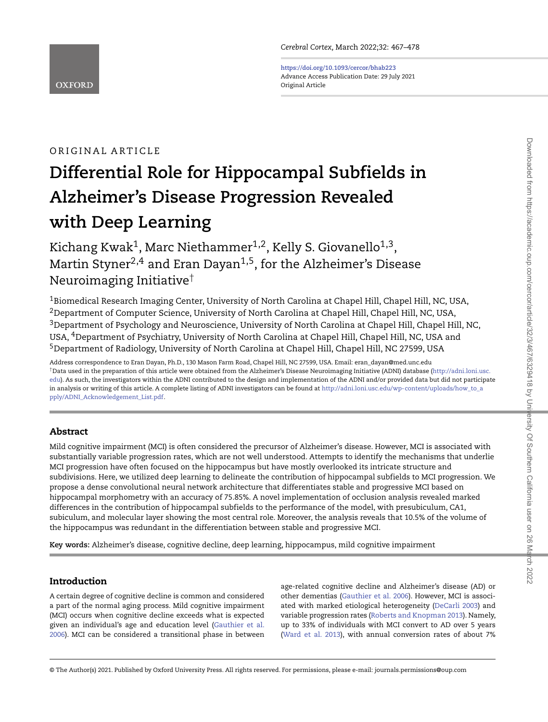**<https://doi.org/10.1093/cercor/bhab223>** Advance Access Publication Date: 29 July 2021 Original Article

# ORIGINAL ARTICLE

**OXFORD** 

# **Differential Role for Hippocampal Subfields in Alzheimer's Disease Progression Revealed with Deep Learning**

Kichang Kwak<sup>1</sup>, Marc Niethammer<sup>1,2</sup>, Kelly S. Giovanello<sup>1,3</sup>, Martin Styner<sup>2,4</sup> and Eran Dayan<sup>1,5</sup>, for the Alzheimer's Disease Neuroimaging Initiative†

<sup>1</sup>Biomedical Research Imaging Center, University of North Carolina at Chapel Hill, Chapel Hill, NC, USA,  $2$ Department of Computer Science, University of North Carolina at Chapel Hill, Chapel Hill, NC, USA, <sup>3</sup>Department of Psychology and Neuroscience, University of North Carolina at Chapel Hill, Chapel Hill, NC, USA, 4Department of Psychiatry, University of North Carolina at Chapel Hill, Chapel Hill, NC, USA and 5Department of Radiology, University of North Carolina at Chapel Hill, Chapel Hill, NC 27599, USA

Address correspondence to Eran Dayan, Ph.D., 130 Mason Farm Road, Chapel Hill, NC 27599, USA. Email: eran\_dayan@med.unc.edu †Data used in the preparation of this article were obtained from the Alzheimer's Disease Neuroimaging Initiative (ADNI) database (http://adni.loni.usc. [edu\). As such, the investigators within the ADNI contributed to the design and implementation of the ADNI and/or provided data but did not participate](http://adni.loni.usc.edu) in analysis or writing of this article. A complete listing of ADNI investigators can be found at http://adni.loni.usc.edu/wp-content/uploads/how to a [pply/ADNI\\_Acknowledgement\\_List.pdf.](http://adni.loni.usc.edu/wp-content/uploads/how_to_apply/ADNI_Acknowledgement_List.pdf)

# **Abstract**

Mild cognitive impairment (MCI) is often considered the precursor of Alzheimer's disease. However, MCI is associated with substantially variable progression rates, which are not well understood. Attempts to identify the mechanisms that underlie MCI progression have often focused on the hippocampus but have mostly overlooked its intricate structure and subdivisions. Here, we utilized deep learning to delineate the contribution of hippocampal subfields to MCI progression. We propose a dense convolutional neural network architecture that differentiates stable and progressive MCI based on hippocampal morphometry with an accuracy of 75.85%. A novel implementation of occlusion analysis revealed marked differences in the contribution of hippocampal subfields to the performance of the model, with presubiculum, CA1, subiculum, and molecular layer showing the most central role. Moreover, the analysis reveals that 10.5% of the volume of the hippocampus was redundant in the differentiation between stable and progressive MCI.

**Key words:** Alzheimer's disease, cognitive decline, deep learning, hippocampus, mild cognitive impairment

# **Introduction**

A certain degree of cognitive decline is common and considered a part of the normal aging process. Mild cognitive impairment (MCI) occurs when cognitive decline exceeds what is expected [given an individual's age and education level \(Gauthier et al.](#page-10-0) 2006). MCI can be considered a transitional phase in between

age-related cognitive decline and Alzheimer's disease (AD) or other dementias [\(Gauthier et al. 2006\)](#page-10-0). However, MCI is associated with marked etiological heterogeneity [\(DeCarli 2003\)](#page-10-1) and variable progression rates [\(Roberts and Knopman 2013\)](#page-11-0). Namely, up to 33% of individuals with MCI convert to AD over 5 years [\(Ward et al. 2013\)](#page-11-1), with annual conversion rates of about 7%

<sup>©</sup> The Author(s) 2021. Published by Oxford University Press. All rights reserved. For permissions, please e-mail: journals.permissions@oup.com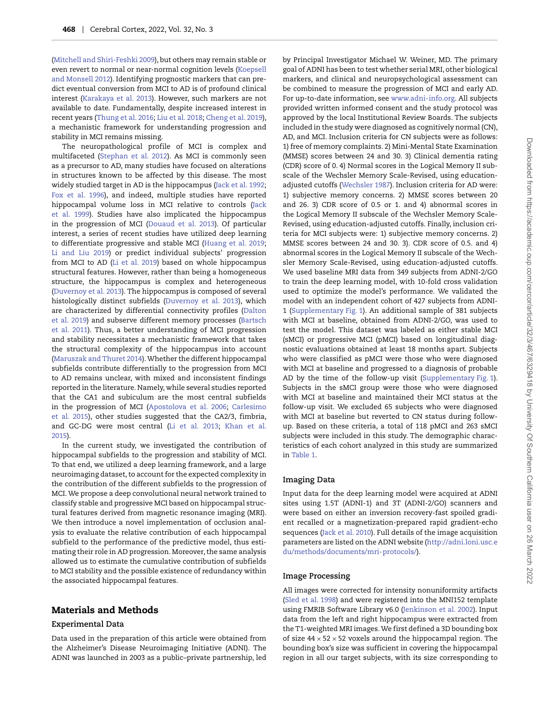[\(Mitchell and Shiri-Feshki 2009\)](#page-11-2), but others may remain stable or even revert to normal or near-normal cognition levels (Koepsell [and Monsell 2012\). Identifying prognostic markers that can pre](#page-10-2)dict eventual conversion from MCI to AD is of profound clinical interest [\(Karakaya et al. 2013\)](#page-10-3). However, such markers are not available to date. Fundamentally, despite increased interest in recent years [\(Thung et al. 2016;](#page-11-3) [Liu et al. 2018;](#page-10-4) [Cheng et al. 2019\)](#page-10-5), a mechanistic framework for understanding progression and stability in MCI remains missing.

The neuropathological profile of MCI is complex and multifaceted [\(Stephan et al. 2012\)](#page-11-4). As MCI is commonly seen as a precursor to AD, many studies have focused on alterations in structures known to be affected by this disease. The most widely studied target in AD is the hippocampus [\(Jack et al. 1992;](#page-10-6) [Fox et al. 1996\)](#page-10-7), and indeed, multiple studies have reported hippocampal volume loss in MCI relative to controls (Jack [et al. 1999\). Studies have also implicated the hippocampus](#page-10-8) in the progression of MCI [\(Douaud et al. 2013\)](#page-10-9). Of particular interest, a series of recent studies have utilized deep learning to differentiate progressive and stable MCI [\(Huang et al. 2019;](#page-10-10) [Li and Liu 2019\)](#page-10-11) or predict individual subjects' progression from MCI to AD [\(Li et al. 2019\)](#page-10-12) based on whole hippocampus structural features. However, rather than being a homogeneous structure, the hippocampus is complex and heterogeneous [\(Duvernoy et al. 2013\)](#page-10-13). The hippocampus is composed of several histologically distinct subfields [\(Duvernoy et al. 2013\)](#page-10-13), which [are characterized by differential connectivity profiles \(Dalton](#page-10-14) [et al. 2019\) and subserve different memory processes \(Bartsch](#page-10-15) et al. 2011). Thus, a better understanding of MCI progression and stability necessitates a mechanistic framework that takes the structural complexity of the hippocampus into account [\(Maruszak and Thuret 2014\)](#page-11-5).Whether the different hippocampal subfields contribute differentially to the progression from MCI to AD remains unclear, with mixed and inconsistent findings reported in the literature. Namely, while several studies reported that the CA1 and subiculum are the most central subfields in the progression of MCI [\(Apostolova et al. 2006;](#page-9-0) Carlesimo [et al. 2015\), other studies suggested that the CA2/3, fimbria,](#page-10-16) [and GC-DG were most central \(Li et al. 2013;](#page-10-18) Khan et al. 2015).

In the current study, we investigated the contribution of hippocampal subfields to the progression and stability of MCI. To that end, we utilized a deep learning framework, and a large neuroimaging dataset, to account for the expected complexity in the contribution of the different subfields to the progression of MCI. We propose a deep convolutional neural network trained to classify stable and progressive MCI based on hippocampal structural features derived from magnetic resonance imaging (MRI). We then introduce a novel implementation of occlusion analysis to evaluate the relative contribution of each hippocampal subfield to the performance of the predictive model, thus estimating their role in AD progression. Moreover, the same analysis allowed us to estimate the cumulative contribution of subfields to MCI stability and the possible existence of redundancy within the associated hippocampal features.

# **Materials and Methods**

#### **Experimental Data**

Data used in the preparation of this article were obtained from the Alzheimer's Disease Neuroimaging Initiative (ADNI). The ADNI was launched in 2003 as a public–private partnership, led by Principal Investigator Michael W. Weiner, MD. The primary goal of ADNI has been to test whether serial MRI, other biological markers, and clinical and neuropsychological assessment can be combined to measure the progression of MCI and early AD. For up-to-date information, see [www.adni-info.org.](www.adni-info.org) All subjects provided written informed consent and the study protocol was approved by the local Institutional Review Boards. The subjects included in the study were diagnosed as cognitively normal (CN), AD, and MCI. Inclusion criteria for CN subjects were as follows: 1) free of memory complaints. 2) Mini-Mental State Examination (MMSE) scores between 24 and 30. 3) Clinical dementia rating (CDR) score of 0. 4) Normal scores in the Logical Memory II subscale of the Wechsler Memory Scale-Revised, using educationadjusted cutoffs [\(Wechsler 1987\)](#page-11-6). Inclusion criteria for AD were: 1) subjective memory concerns. 2) MMSE scores between 20 and 26. 3) CDR score of 0.5 or 1. and 4) abnormal scores in the Logical Memory II subscale of the Wechsler Memory Scale-Revised, using education-adjusted cutoffs. Finally, inclusion criteria for MCI subjects were: 1) subjective memory concerns. 2) MMSE scores between 24 and 30. 3). CDR score of 0.5. and 4) abnormal scores in the Logical Memory II subscale of the Wechsler Memory Scale-Revised, using education-adjusted cutoffs. We used baseline MRI data from 349 subjects from ADNI-2/GO to train the deep learning model, with 10-fold cross validation used to optimize the model's performance. We validated the model with an independent cohort of 427 subjects from ADNI-1 [\(Supplementary Fig. 1\)](#page-3-0). An additional sample of 381 subjects with MCI at baseline, obtained from ADNI-2/GO, was used to test the model. This dataset was labeled as either stable MCI (sMCI) or progressive MCI (pMCI) based on longitudinal diagnostic evaluations obtained at least 18 months apart. Subjects who were classified as pMCI were those who were diagnosed with MCI at baseline and progressed to a diagnosis of probable AD by the time of the follow-up visit [\(Supplementary Fig. 1\)](#page-3-0). Subjects in the sMCI group were those who were diagnosed with MCI at baseline and maintained their MCI status at the follow-up visit. We excluded 65 subjects who were diagnosed with MCI at baseline but reverted to CN status during followup. Based on these criteria, a total of 118 pMCI and 263 sMCI subjects were included in this study. The demographic characteristics of each cohort analyzed in this study are summarized in [Table 1.](#page-2-0)

# **Imaging Data**

Input data for the deep learning model were acquired at ADNI sites using 1.5T (ADNI-1) and 3T (ADNI-2/GO) scanners and were based on either an inversion recovery-fast spoiled gradient recalled or a magnetization-prepared rapid gradient-echo sequences [\(Jack et al. 2010\)](#page-10-19). Full details of the image acquisition parameters are listed on the ADNI website [\(http://adni.loni.usc.e](http://adni.loni.usc.edu/methods/documents/mri-protocols/) [du/methods/documents/mri-protocols/\)](http://adni.loni.usc.edu/methods/documents/mri-protocols/).

## **Image Processing**

All images were corrected for intensity nonuniformity artifacts [\(Sled et al. 1998\)](#page-11-7) and were registered into the MNI152 template using FMRIB Software Library v6.0 [\(Jenkinson et al. 2002\)](#page-10-20). Input data from the left and right hippocampus were extracted from the T1-weighted MRI images.We first defined a 3D bounding box of size  $44 \times 52 \times 52$  voxels around the hippocampal region. The bounding box's size was sufficient in covering the hippocampal region in all our target subjects, with its size corresponding to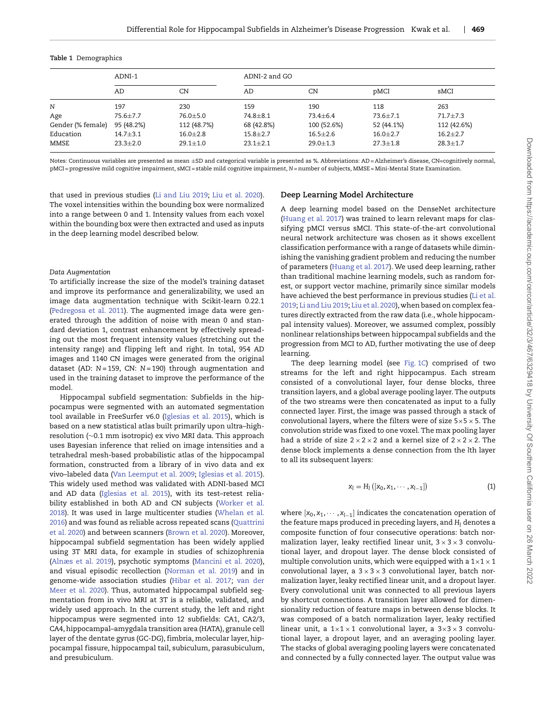|                   | ADNI-1         |                | ADNI-2 and GO  |                |                |                |
|-------------------|----------------|----------------|----------------|----------------|----------------|----------------|
|                   | AD             | CN             | AD             | CN             | pMCI           | sMCI           |
| N                 | 197            | 230            | 159            | 190            | 118            | 263            |
| Age               | $75.6 \pm 7.7$ | $76.0 \pm 5.0$ | $74.8 \pm 8.1$ | $73.4 \pm 6.4$ | $73.6 \pm 7.1$ | $71.7 \pm 7.3$ |
| Gender (% female) | 95 (48.2%)     | 112 (48.7%)    | 68 (42.8%)     | 100 (52.6%)    | 52 (44.1%)     | 112 (42.6%)    |
| Education         | $14.7 + 3.1$   | $16.0 \pm 2.8$ | $15.8 \pm 2.7$ | $16.5 \pm 2.6$ | $16.0 \pm 2.7$ | $16.2 \pm 2.7$ |
| MMSE              | $23.3 \pm 2.0$ | $29.1 \pm 1.0$ | $23.1 \pm 2.1$ | $29.0 \pm 1.3$ | $27.3 \pm 1.8$ | $28.3 \pm 1.7$ |

<span id="page-2-0"></span>**Table 1** Demographics

Notes: Continuous variables are presented as mean ±SD and categorical variable is presented as %. Abbreviations: AD=Alzheimer's disease, CN=cognitively normal, pMCI = progressive mild cognitive impairment, sMCI = stable mild cognitive impairment, *N* = number of subjects, MMSE = Mini-Mental State Examination.

that used in previous studies [\(Li and Liu 2019;](#page-10-11) [Liu et al. 2020\)](#page-10-21). The voxel intensities within the bounding box were normalized into a range between 0 and 1. Intensity values from each voxel within the bounding box were then extracted and used as inputs in the deep learning model described below.

#### *Data Augmentation*

To artificially increase the size of the model's training dataset and improve its performance and generalizability, we used an image data augmentation technique with Scikit-learn 0.22.1 [\(Pedregosa et al. 2011\)](#page-11-8). The augmented image data were generated through the addition of noise with mean 0 and standard deviation 1, contrast enhancement by effectively spreading out the most frequent intensity values (stretching out the intensity range) and flipping left and right. In total, 954 AD images and 1140 CN images were generated from the original dataset (AD: *N* = 159, CN: *N* = 190) through augmentation and used in the training dataset to improve the performance of the model.

Hippocampal subfield segmentation: Subfields in the hippocampus were segmented with an automated segmentation tool available in FreeSurfer v6.0 [\(Iglesias et al. 2015\)](#page-10-22), which is based on a new statistical atlas built primarily upon ultra–highresolution (∼0.1 mm isotropic) ex vivo MRI data. This approach uses Bayesian inference that relied on image intensities and a tetrahedral mesh-based probabilistic atlas of the hippocampal formation, constructed from a library of in vivo data and ex vivo–labeled data [\(Van Leemput et al. 2009;](#page-11-9) [Iglesias et al. 2015\)](#page-10-22). This widely used method was validated with ADNI-based MCI and AD data [\(Iglesias et al. 2015\)](#page-10-22), with its test–retest reliability established in both AD and CN subjects (Worker et al. [2018\). It was used in large multicenter studies \(Whelan et al.](#page-11-10) 2016) and was found as reliable across repeated scans (Quattrini [et al. 2020\) and between scanners \(Brown et al. 2020\). Moreover,](#page-11-12) hippocampal subfield segmentation has been widely applied using 3T MRI data, for example in studies of schizophrenia [\(Alnæs et al. 2019\)](#page-9-1), psychotic symptoms [\(Mancini et al. 2020\)](#page-11-13), and visual episodic recollection [\(Norman et al. 2019\)](#page-11-14) and in genome-wide association studies [\(Hibar et al. 2017;](#page-10-24) van der [Meer et al. 2020\). Thus, automated hippocampal subfield seg](#page-11-15)mentation from in vivo MRI at 3T is a reliable, validated, and widely used approach. In the current study, the left and right hippocampus were segmented into 12 subfields: CA1, CA2/3, CA4, hippocampal–amygdala transition area (HATA), granule cell layer of the dentate gyrus (GC-DG), fimbria, molecular layer, hippocampal fissure, hippocampal tail, subiculum, parasubiculum, and presubiculum.

## **Deep Learning Model Architecture**

A deep learning model based on the DenseNet architecture [\(Huang et al. 2017\)](#page-10-25) was trained to learn relevant maps for classifying pMCI versus sMCI. This state-of-the-art convolutional neural network architecture was chosen as it shows excellent classification performance with a range of datasets while diminishing the vanishing gradient problem and reducing the number of parameters [\(Huang et al. 2017\)](#page-10-25). We used deep learning, rather than traditional machine learning models, such as random forest, or support vector machine, primarily since similar models [have achieved the best performance in previous studies \(Li et al.](#page-10-12) 2019; [Li and Liu 2019;](#page-10-11) [Liu et al. 2020\)](#page-10-21), when based on complex features directly extracted from the raw data (i.e., whole hippocampal intensity values). Moreover, we assumed complex, possibly nonlinear relationships between hippocampal subfields and the progression from MCI to AD, further motivating the use of deep learning.

The deep learning model (see [Fig. 1](#page-6-0)*C*) comprised of two streams for the left and right hippocampus. Each stream consisted of a convolutional layer, four dense blocks, three transition layers, and a global average pooling layer. The outputs of the two streams were then concatenated as input to a fully connected layer. First, the image was passed through a stack of convolutional layers, where the filters were of size  $5\times5\times5$ . The convolution stride was fixed to one voxel. The max pooling layer had a stride of size  $2 \times 2 \times 2$  and a kernel size of  $2 \times 2 \times 2$ . The dense block implements a dense connection from the *l*th layer to all its subsequent layers:

$$
x_l = H_l([x_0, x_1, \cdots, x_{l-1}])
$$
\n(1)

where  $[x_0, x_1, \dots, x_{l-1}]$  indicates the concatenation operation of the feature maps produced in preceding layers, and *H*<sub>1</sub> denotes a composite function of four consecutive operations: batch normalization layer, leaky rectified linear unit,  $3 \times 3 \times 3$  convolutional layer, and dropout layer. The dense block consisted of multiple convolution units, which were equipped with a  $1\times1\times1$ convolutional layer, a  $3 \times 3 \times 3$  convolutional layer, batch normalization layer, leaky rectified linear unit, and a dropout layer. Every convolutional unit was connected to all previous layers by shortcut connections. A transition layer allowed for dimensionality reduction of feature maps in between dense blocks. It was composed of a batch normalization layer, leaky rectified linear unit, a  $1\times1\times1$  convolutional layer, a  $3\times3\times3$  convolutional layer, a dropout layer, and an averaging pooling layer. The stacks of global averaging pooling layers were concatenated and connected by a fully connected layer. The output value was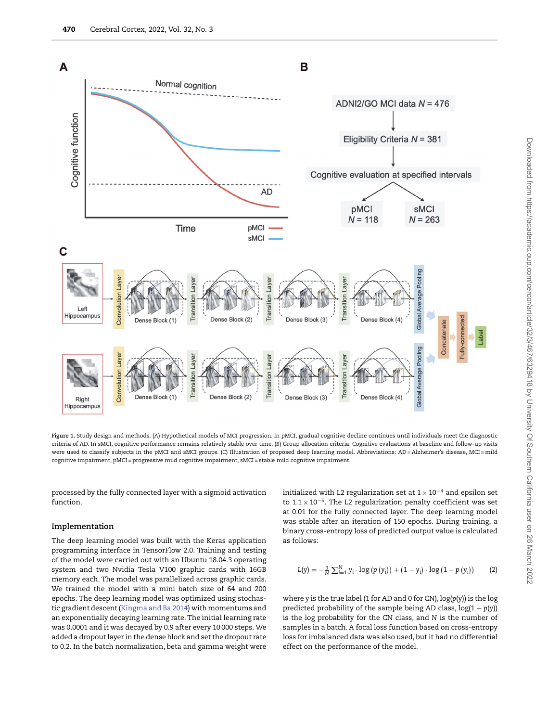

<span id="page-3-0"></span>**Figure 1.** Study design and methods. (*A*) Hypothetical models of MCI progression. In pMCI, gradual cognitive decline continues until individuals meet the diagnostic criteria of AD. In sMCI, cognitive performance remains relatively stable over time. (*B*) Group allocation criteria. Cognitive evaluations at baseline and follow-up visits were used to classify subjects in the pMCI and sMCI groups. (C) Illustration of proposed deep learning model. Abbreviations: AD = Alzheimer's disease, MCI = mild cognitive impairment, pMCI = progressive mild cognitive impairment, sMCI = stable mild cognitive impairment.

processed by the fully connected layer with a sigmoid activation function.

# **Implementation**

The deep learning model was built with the Keras application programming interface in TensorFlow 2.0. Training and testing of the model were carried out with an Ubuntu 18.04.3 operating system and two Nvidia Tesla V100 graphic cards with 16GB memory each. The model was parallelized across graphic cards. We trained the model with a mini batch size of 64 and 200 epochs. The deep learning model was optimized using stochastic gradient descent [\(Kingma and Ba 2014\)](#page-10-26) with momentums and an exponentially decaying learning rate. The initial learning rate was 0.0001 and it was decayed by 0.9 after every 10 000 steps. We added a dropout layer in the dense block and set the dropout rate to 0.2. In the batch normalization, beta and gamma weight were

initialized with L2 regularization set at  $1 \times 10^{-4}$  and epsilon set to  $1.1 \times 10^{-5}$ . The L2 regularization penalty coefficient was set at 0.01 for the fully connected layer. The deep learning model was stable after an iteration of 150 epochs. During training, a binary cross-entropy loss of predicted output value is calculated as follows:

$$
L(y) = -\frac{1}{N} \sum_{i=1}^{N} y_i \cdot \log (p (y_i)) + (1 - y_i) \cdot \log (1 - p (y_i))
$$
 (2)

where *y* is the true label (1 for AD and 0 for CN), log(*p*(*y*)) is the log predicted probability of the sample being AD class, log(1 − *p*(*y*)) is the log probability for the CN class, and *N* is the number of samples in a batch. A focal loss function based on cross-entropy loss for imbalanced data was also used, but it had no differential effect on the performance of the model.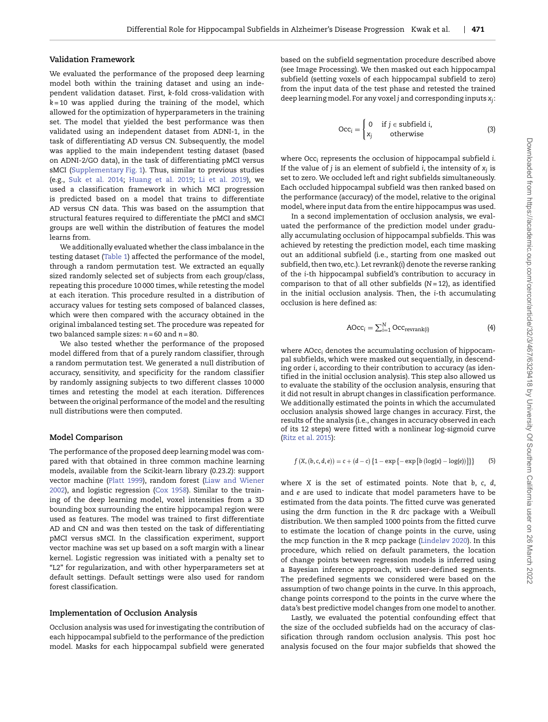#### **Validation Framework**

We evaluated the performance of the proposed deep learning model both within the training dataset and using an independent validation dataset. First, *k*-fold cross-validation with *k* = 10 was applied during the training of the model, which allowed for the optimization of hyperparameters in the training set. The model that yielded the best performance was then validated using an independent dataset from ADNI-1, in the task of differentiating AD versus CN. Subsequently, the model was applied to the main independent testing dataset (based on ADNI-2/GO data), in the task of differentiating pMCI versus sMCI [\(Supplementary Fig. 1\)](#page-3-0). Thus, similar to previous studies (e.g., [Suk et al. 2014;](#page-11-16) [Huang et al. 2019;](#page-10-10) [Li et al. 2019\)](#page-10-12), we used a classification framework in which MCI progression is predicted based on a model that trains to differentiate AD versus CN data. This was based on the assumption that structural features required to differentiate the pMCI and sMCI groups are well within the distribution of features the model learns from.

We additionally evaluated whether the class imbalance in the testing dataset [\(Table 1\)](#page-2-0) affected the performance of the model, through a random permutation test. We extracted an equally sized randomly selected set of subjects from each group/class, repeating this procedure 10 000 times, while retesting the model at each iteration. This procedure resulted in a distribution of accuracy values for testing sets composed of balanced classes, which were then compared with the accuracy obtained in the original imbalanced testing set. The procedure was repeated for two balanced sample sizes: *n* = 60 and *n* = 80.

We also tested whether the performance of the proposed model differed from that of a purely random classifier, through a random permutation test. We generated a null distribution of accuracy, sensitivity, and specificity for the random classifier by randomly assigning subjects to two different classes 10 000 times and retesting the model at each iteration. Differences between the original performance of the model and the resulting null distributions were then computed.

#### **Model Comparison**

The performance of the proposed deep learning model was compared with that obtained in three common machine learning models, available from the Scikit-learn library (0.23.2): support [vector machine \(Platt 1999\), random forest \(Liaw and Wiener](#page-10-27) 2002), and logistic regression [\(Cox 1958\)](#page-10-28). Similar to the training of the deep learning model, voxel intensities from a 3D bounding box surrounding the entire hippocampal region were used as features. The model was trained to first differentiate AD and CN and was then tested on the task of differentiating pMCI versus sMCI. In the classification experiment, support vector machine was set up based on a soft margin with a linear kernel. Logistic regression was initiated with a penalty set to "L2" for regularization, and with other hyperparameters set at default settings. Default settings were also used for random forest classification.

#### **Implementation of Occlusion Analysis**

Occlusion analysis was used for investigating the contribution of each hippocampal subfield to the performance of the prediction model. Masks for each hippocampal subfield were generated

based on the subfield segmentation procedure described above (see Image Processing). We then masked out each hippocampal subfield (setting voxels of each hippocampal subfield to zero) from the input data of the test phase and retested the trained deep learning model. For any voxel *j* and corresponding inputs *xj*:

$$
Occi =\begin{cases} 0 & \text{if } j \in \text{subfield } i, \\ x_j & \text{otherwise} \end{cases}
$$
 (3)

where Occ*<sup>i</sup>* represents the occlusion of hippocampal subfield *i*. If the value of *j* is an element of subfield *i*, the intensity of *xj* is set to zero. We occluded left and right subfields simultaneously. Each occluded hippocampal subfield was then ranked based on the performance (accuracy) of the model, relative to the original model, where input data from the entire hippocampus was used.

In a second implementation of occlusion analysis, we evaluated the performance of the prediction model under gradually accumulating occlusion of hippocampal subfields. This was achieved by retesting the prediction model, each time masking out an additional subfield (i.e., starting from one masked out subfield, then two, etc.). Let revrank(*i*) denote the reverse ranking of the *i*-th hippocampal subfield's contribution to accuracy in comparison to that of all other subfields (*N* = 12), as identified in the initial occlusion analysis. Then, the *i*-th accumulating occlusion is here defined as:

$$
AOcc_i = \sum_{i=1}^{N} Occ_{\text{revrank}(i)} \tag{4}
$$

where AOcc*<sup>i</sup>* denotes the accumulating occlusion of hippocampal subfields, which were masked out sequentially, in descending order *i*, according to their contribution to accuracy (as identified in the initial occlusion analysis). This step also allowed us to evaluate the stability of the occlusion analysis, ensuring that it did not result in abrupt changes in classification performance. We additionally estimated the points in which the accumulated occlusion analysis showed large changes in accuracy. First, the results of the analysis (i.e., changes in accuracy observed in each of its 12 steps) were fitted with a nonlinear log-sigmoid curve [\(Ritz et al. 2015\)](#page-11-18):

$$
f (X, (b, c, d, e)) = c + (d - c) \{1 - \exp \{- \exp [b (log(x) - log(e))]\}\}\
$$
 (5)

where *X* is the set of estimated points. Note that *b*, *c*, *d*, and *e* are used to indicate that model parameters have to be estimated from the data points. The fitted curve was generated using the drm function in the R drc package with a Weibull distribution. We then sampled 1000 points from the fitted curve to estimate the location of change points in the curve, using the mcp function in the R mcp package [\(Lindeløv 2020\)](#page-10-29). In this procedure, which relied on default parameters, the location of change points between regression models is inferred using a Bayesian inference approach, with user-defined segments. The predefined segments we considered were based on the assumption of two change points in the curve. In this approach, change points correspond to the points in the curve where the data's best predictive model changes from one model to another.

Lastly, we evaluated the potential confounding effect that the size of the occluded subfields had on the accuracy of classification through random occlusion analysis. This post hoc analysis focused on the four major subfields that showed the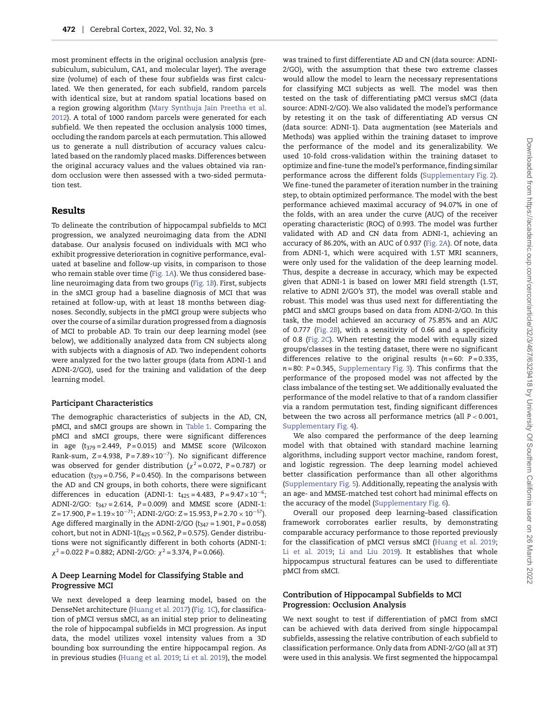most prominent effects in the original occlusion analysis (presubiculum, subiculum, CA1, and molecular layer). The average size (volume) of each of these four subfields was first calculated. We then generated, for each subfield, random parcels with identical size, but at random spatial locations based on [a region growing algorithm \(Mary Synthuja Jain Preetha et al.](#page-11-19) 2012). A total of 1000 random parcels were generated for each subfield. We then repeated the occlusion analysis 1000 times, occluding the random parcels at each permutation. This allowed us to generate a null distribution of accuracy values calculated based on the randomly placed masks. Differences between the original accuracy values and the values obtained via random occlusion were then assessed with a two-sided permutation test.

#### **Results**

To delineate the contribution of hippocampal subfields to MCI progression, we analyzed neuroimaging data from the ADNI database. Our analysis focused on individuals with MCI who exhibit progressive deterioration in cognitive performance, evaluated at baseline and follow-up visits, in comparison to those who remain stable over time [\(Fig. 1](#page-6-0)*A*). We thus considered baseline neuroimaging data from two groups [\(Fig. 1](#page-6-0)*B*). First, subjects in the sMCI group had a baseline diagnosis of MCI that was retained at follow-up, with at least 18 months between diagnoses. Secondly, subjects in the pMCI group were subjects who over the course of a similar duration progressed from a diagnosis of MCI to probable AD. To train our deep learning model (see below), we additionally analyzed data from CN subjects along with subjects with a diagnosis of AD. Two independent cohorts were analyzed for the two latter groups (data from ADNI-1 and ADNI-2/GO), used for the training and validation of the deep learning model.

#### **Participant Characteristics**

The demographic characteristics of subjects in the AD, CN, pMCI, and sMCI groups are shown in [Table 1.](#page-2-0) Comparing the pMCI and sMCI groups, there were significant differences in age (*t*<sup>379</sup> = 2.449, *P* = 0.015) and MMSE score (Wilcoxon Rank-sum, *Z* = 4.938, *P* = 7.89×10−7). No significant difference was observed for gender distribution (*χ*<sup>2</sup> = 0.072, *P* = 0.787) or education (*t*<sup>379</sup> = 0.756, *P* = 0.450). In the comparisons between the AD and CN groups, in both cohorts, there were significant differences in education (ADNI-1: *t*<sup>425</sup> = 4.483, *P* = 9.47×10−6; ADNI-2/GO: *t*<sup>347</sup> = 2.614, *P* = 0.009) and MMSE score (ADNI-1: *Z* = 17.900, *P* = 1.19×10−71; ADNI-2/GO: *Z* = 15.953, *P* = 2.70 × 10−57). Age differed marginally in the ADNI-2/GO (*t*<sup>347</sup> = 1.901, *P* = 0.058) cohort, but not in ADNI-1(*t*<sup>425</sup> = 0.562, *P* = 0.575). Gender distributions were not significantly different in both cohorts (ADNI-1: *χ*<sup>2</sup> = 0.022 *P* = 0.882; ADNI-2/GO: *χ*<sup>2</sup> = 3.374, *P* = 0.066).

# **A Deep Learning Model for Classifying Stable and Progressive MCI**

We next developed a deep learning model, based on the DenseNet architecture [\(Huang et al. 2017\)](#page-10-25) [\(Fig. 1](#page-6-0)*C*), for classification of pMCI versus sMCI, as an initial step prior to delineating the role of hippocampal subfields in MCI progression. As input data, the model utilizes voxel intensity values from a 3D bounding box surrounding the entire hippocampal region. As in previous studies [\(Huang et al. 2019;](#page-10-10) [Li et al. 2019\)](#page-10-12), the model

was trained to first differentiate AD and CN (data source: ADNI-2/GO), with the assumption that these two extreme classes would allow the model to learn the necessary representations for classifying MCI subjects as well. The model was then tested on the task of differentiating pMCI versus sMCI (data source: ADNI-2/GO). We also validated the model's performance by retesting it on the task of differentiating AD versus CN (data source: ADNI-1). Data augmentation (see Materials and Methods) was applied within the training dataset to improve the performance of the model and its generalizability. We used 10-fold cross-validation within the training dataset to optimize and fine-tune the model's performance, finding similar performance across the different folds [\(Supplementary Fig. 2\)](#page-7-0). We fine-tuned the parameter of iteration number in the training step, to obtain optimized performance. The model with the best performance achieved maximal accuracy of 94.07% in one of the folds, with an area under the curve (AUC) of the receiver operating characteristic (ROC) of 0.993. The model was further validated with AD and CN data from ADNI-1, achieving an accuracy of 86.20%, with an AUC of 0.937 [\(Fig. 2](#page-8-0)*A*). Of note, data from ADNI-1, which were acquired with 1.5T MRI scanners, were only used for the validation of the deep learning model. Thus, despite a decrease in accuracy, which may be expected given that ADNI-1 is based on lower MRI field strength (1.5T, relative to ADNI 2/GO's 3T), the model was overall stable and robust. This model was thus used next for differentiating the pMCI and sMCI groups based on data from ADNI-2/GO. In this task, the model achieved an accuracy of 75.85% and an AUC of 0.777 [\(Fig. 2](#page-8-0)*B*), with a sensitivity of 0.66 and a specificity of 0.8 [\(Fig. 2](#page-8-0)*C*). When retesting the model with equally sized groups/classes in the testing dataset, there were no significant differences relative to the original results  $(n=60: P=0.335,$ *n* = 80: *P* = 0.345, [Supplementary Fig. 3\)](#page-8-1). This confirms that the performance of the proposed model was not affected by the class imbalance of the testing set. We additionally evaluated the performance of the model relative to that of a random classifier via a random permutation test, finding significant differences between the two across all performance metrics (all *P <* 0.001, We also compared the performance of the deep learning model with that obtained with standard machine learning algorithms, including support vector machine, random forest, and logistic regression. The deep learning model achieved better classification performance than all other algorithms (Supplementary Fig. 5). Additionally, repeating the analysis with an age- and MMSE-matched test cohort had minimal effects on

Overall our proposed deep learning–based classification framework corroborates earlier results, by demonstrating comparable accuracy performance to those reported previously for the classification of pMCI versus sMCI [\(Huang et al. 2019;](#page-10-10) [Li et al. 2019;](#page-10-12) [Li and Liu 2019\)](#page-10-11). It establishes that whole hippocampus structural features can be used to differentiate pMCI from sMCI.

# **Contribution of Hippocampal Subfields to MCI Progression: Occlusion Analysis**

the accuracy of the model (Supplementary Fig. 6).

Supplementary Fig. 4).

We next sought to test if differentiation of pMCI from sMCI can be achieved with data derived from single hippocampal subfields, assessing the relative contribution of each subfield to classification performance. Only data from ADNI-2/GO (all at 3T) were used in this analysis. We first segmented the hippocampal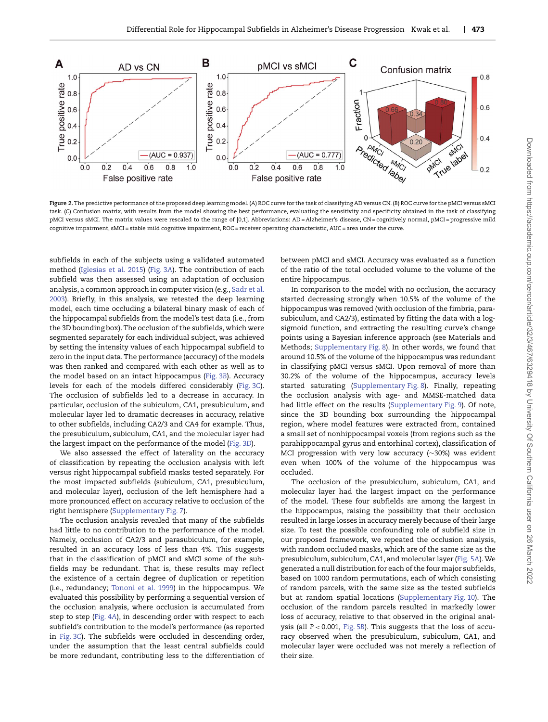

<span id="page-6-0"></span>**Figure 2.**The predictive performance of the proposed deep learning model. (*A*) ROC curve for the task of classifying AD versus CN. (*B*) ROC curve for the pMCI versus sMCI task. (*C*) Confusion matrix, with results from the model showing the best performance, evaluating the sensitivity and specificity obtained in the task of classifying pMCI versus sMCI. The matrix values were rescaled to the range of [0,1]. Abbreviations: AD=Alzheimer's disease, CN=cognitively normal, pMCI=progressive mild cognitive impairment, sMCI = stable mild cognitive impairment, ROC = receiver operating characteristic, AUC = area under the curve.

subfields in each of the subjects using a validated automated method [\(Iglesias et al. 2015\)](#page-10-22) (Fig. 3*A*). The contribution of each subfield was then assessed using an adaptation of occlusion analysis, a common approach in computer vision (e.g., Sadr et al. 2003). Briefly, in this analysis, we retested the deep learning model, each time occluding a bilateral binary mask of each of the hippocampal subfields from the model's test data (i.e., from the 3D bounding box). The occlusion of the subfields, which were segmented separately for each individual subject, was achieved by setting the intensity values of each hippocampal subfield to zero in the input data. The performance (accuracy) of the models was then ranked and compared with each other as well as to the model based on an intact hippocampus (Fig. 3*B*). Accuracy levels for each of the models differed considerably (Fig. 3*C*). The occlusion of subfields led to a decrease in accuracy. In particular, occlusion of the subiculum, CA1, presubiculum, and molecular layer led to dramatic decreases in accuracy, relative to other subfields, including CA2/3 and CA4 for example. Thus, the presubiculum, subiculum, CA1, and the molecular layer had the largest impact on the performance of the model (Fig. 3*D*).

We also assessed the effect of laterality on the accuracy of classification by repeating the occlusion analysis with left versus right hippocampal subfield masks tested separately. For the most impacted subfields (subiculum, CA1, presubiculum, and molecular layer), occlusion of the left hemisphere had a more pronounced effect on accuracy relative to occlusion of the right hemisphere (Supplementary Fig. 7).

The occlusion analysis revealed that many of the subfields had little to no contribution to the performance of the model. Namely, occlusion of CA2/3 and parasubiculum, for example, resulted in an accuracy loss of less than 4%. This suggests that in the classification of pMCI and sMCI some of the subfields may be redundant. That is, these results may reflect the existence of a certain degree of duplication or repetition (i.e., redundancy; [Tononi et al. 1999\)](#page-11-21) in the hippocampus. We evaluated this possibility by performing a sequential version of the occlusion analysis, where occlusion is accumulated from step to step (Fig. 4*A*), in descending order with respect to each subfield's contribution to the model's performance (as reported in Fig. 3*C*). The subfields were occluded in descending order, under the assumption that the least central subfields could be more redundant, contributing less to the differentiation of between pMCI and sMCI. Accuracy was evaluated as a function of the ratio of the total occluded volume to the volume of the entire hippocampus.

In comparison to the model with no occlusion, the accuracy started decreasing strongly when 10.5% of the volume of the hippocampus was removed (with occlusion of the fimbria, parasubiculum, and CA2/3), estimated by fitting the data with a logsigmoid function, and extracting the resulting curve's change points using a Bayesian inference approach (see Materials and Methods; Supplementary Fig. 8). In other words, we found that around 10.5% of the volume of the hippocampus was redundant in classifying pMCI versus sMCI. Upon removal of more than 30.2% of the volume of the hippocampus, accuracy levels started saturating (Supplementary Fig. 8). Finally, repeating the occlusion analysis with age- and MMSE-matched data had little effect on the results (Supplementary Fig. 9). Of note, since the 3D bounding box surrounding the hippocampal region, where model features were extracted from, contained a small set of nonhippocampal voxels (from regions such as the parahippocampal gyrus and entorhinal cortex), classification of MCI progression with very low accuracy (∼30%) was evident even when 100% of the volume of the hippocampus was occluded.

The occlusion of the presubiculum, subiculum, CA1, and molecular layer had the largest impact on the performance of the model. These four subfields are among the largest in the hippocampus, raising the possibility that their occlusion resulted in large losses in accuracy merely because of their large size. To test the possible confounding role of subfield size in our proposed framework, we repeated the occlusion analysis, with random occluded masks, which are of the same size as the presubiculum, subiculum, CA1, and molecular layer (Fig. 5*A*). We generated a null distribution for each of the four major subfields, based on 1000 random permutations, each of which consisting of random parcels, with the same size as the tested subfields but at random spatial locations (Supplementary Fig. 10). The occlusion of the random parcels resulted in markedly lower loss of accuracy, relative to that observed in the original analysis (all *P <* 0.001, Fig. 5*B*). This suggests that the loss of accuracy observed when the presubiculum, subiculum, CA1, and molecular layer were occluded was not merely a reflection of their size.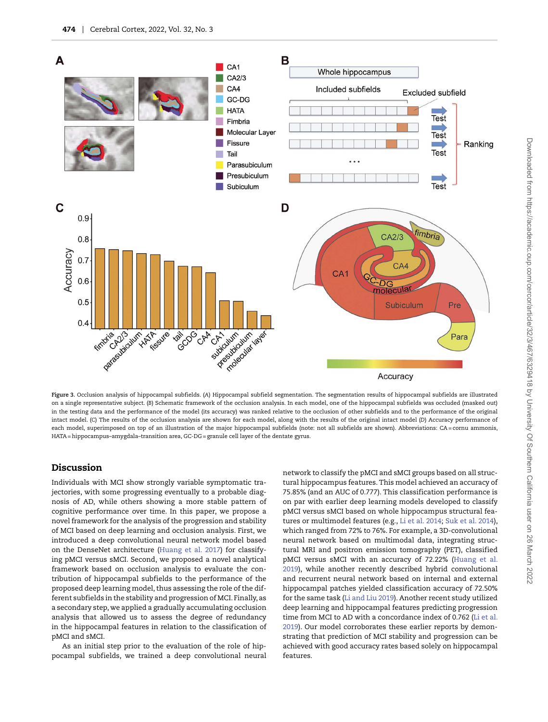

<span id="page-7-0"></span>**Figure 3.** Occlusion analysis of hippocampal subfields. (*A*) Hippocampal subfield segmentation. The segmentation results of hippocampal subfields are illustrated on a single representative subject. (*B*) Schematic framework of the occlusion analysis. In each model, one of the hippocampal subfields was occluded (masked out) in the testing data and the performance of the model (its accuracy) was ranked relative to the occlusion of other subfields and to the performance of the original intact model. (*C*) The results of the occlusion analysis are shown for each model, along with the results of the original intact model (*D*) Accuracy performance of each model, superimposed on top of an illustration of the major hippocampal subfields (note: not all subfields are shown). Abbreviations: CA = cornu ammonis, HATA = hippocampus–amygdala–transition area, GC-DG = granule cell layer of the dentate gyrus.

# **Discussion**

Individuals with MCI show strongly variable symptomatic trajectories, with some progressing eventually to a probable diagnosis of AD, while others showing a more stable pattern of cognitive performance over time. In this paper, we propose a novel framework for the analysis of the progression and stability of MCI based on deep learning and occlusion analysis. First, we introduced a deep convolutional neural network model based on the DenseNet architecture [\(Huang et al. 2017\)](#page-10-25) for classifying pMCI versus sMCI. Second, we proposed a novel analytical framework based on occlusion analysis to evaluate the contribution of hippocampal subfields to the performance of the proposed deep learning model, thus assessing the role of the different subfields in the stability and progression of MCI. Finally, as a secondary step, we applied a gradually accumulating occlusion analysis that allowed us to assess the degree of redundancy in the hippocampal features in relation to the classification of pMCI and sMCI.

As an initial step prior to the evaluation of the role of hippocampal subfields, we trained a deep convolutional neural network to classify the pMCI and sMCI groups based on all structural hippocampus features. This model achieved an accuracy of 75.85% (and an AUC of 0.777). This classification performance is on par with earlier deep learning models developed to classify pMCI versus sMCI based on whole hippocampus structural features or multimodel features (e.g., [Li et al. 2014;](#page-10-30) [Suk et al. 2014\)](#page-11-16), which ranged from 72% to 76%. For example, a 3D-convolutional neural network based on multimodal data, integrating structural MRI and positron emission tomography (PET), classified [pMCI versus sMCI with an accuracy of 72.22% \(Huang et al.](#page-10-10) 2019), while another recently described hybrid convolutional and recurrent neural network based on internal and external hippocampal patches yielded classification accuracy of 72.50% for the same task [\(Li and Liu 2019\)](#page-10-11). Another recent study utilized deep learning and hippocampal features predicting progression [time from MCI to AD with a concordance index of 0.762 \(Li et al.](#page-10-12) 2019). Our model corroborates these earlier reports by demonstrating that prediction of MCI stability and progression can be achieved with good accuracy rates based solely on hippocampal features.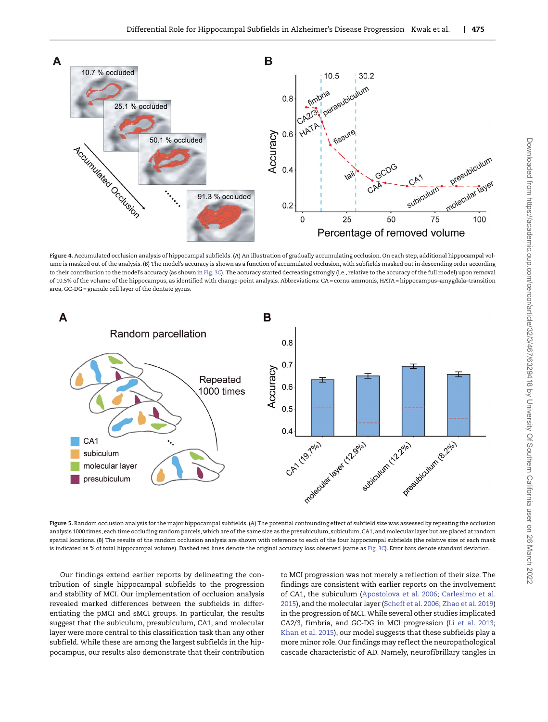

<span id="page-8-0"></span>**Figure 4.** Accumulated occlusion analysis of hippocampal subfields. (*A*) An illustration of gradually accumulating occlusion. On each step, additional hippocampal volume is masked out of the analysis. (*B*) The model's accuracy is shown as a function of accumulated occlusion, with subfields masked out in descending order according to their contribution to the model's accuracy (as shown in Fig. 3*C*). The accuracy started decreasing strongly (i.e., relative to the accuracy of the full model) upon removal of 10.5% of the volume of the hippocampus, as identified with change-point analysis. Abbreviations: CA = cornu ammonis, HATA = hippocampus–amygdala–transition area, GC-DG = granule cell layer of the dentate gyrus.



<span id="page-8-1"></span>**Figure 5.** Random occlusion analysis for the major hippocampal subfields. (*A*) The potential confounding effect of subfield size was assessed by repeating the occlusion analysis 1000 times, each time occluding random parcels, which are of the same size as the presubiculum, subiculum, CA1, and molecular layer but are placed at random spatial locations. (*B*) The results of the random occlusion analysis are shown with reference to each of the four hippocampal subfields (the relative size of each mask is indicated as % of total hippocampal volume). Dashed red lines denote the original accuracy loss observed (same as Fig. 3*C*). Error bars denote standard deviation.

Our findings extend earlier reports by delineating the contribution of single hippocampal subfields to the progression and stability of MCI. Our implementation of occlusion analysis revealed marked differences between the subfields in differentiating the pMCI and sMCI groups. In particular, the results suggest that the subiculum, presubiculum, CA1, and molecular layer were more central to this classification task than any other subfield. While these are among the largest subfields in the hippocampus, our results also demonstrate that their contribution to MCI progression was not merely a ref lection of their size. The findings are consistent with earlier reports on the involvement of CA1, the subiculum [\(Apostolova et al. 2006;](#page-9-0) Carlesimo et al. [2015\), and the molecular layer \(Scheff et al. 2006;](#page-10-16) [Zhao et al. 2019\)](#page-11-23) in the progression of MCI.While several other studies implicated CA2/3, fimbria, and GC-DG in MCI progression [\(Li et al. 2013;](#page-10-17) [Khan et al. 2015\)](#page-10-18), our model suggests that these subfields play a more minor role. Our findings may ref lect the neuropathological cascade characteristic of AD. Namely, neurofibrillary tangles in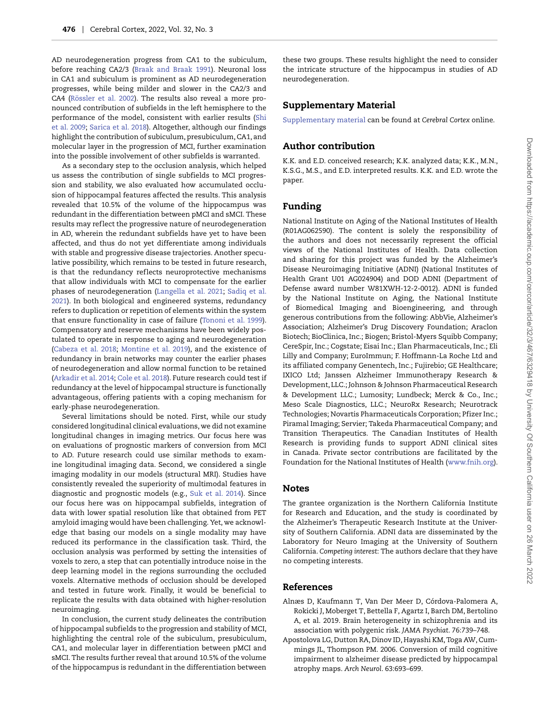AD neurodegeneration progress from CA1 to the subiculum, before reaching CA2/3 [\(Braak and Braak 1991\)](#page-10-31). Neuronal loss in CA1 and subiculum is prominent as AD neurodegeneration progresses, while being milder and slower in the CA2/3 and CA4 [\(Rössler et al. 2002\)](#page-11-24). The results also reveal a more pronounced contribution of subfields in the left hemisphere to the [performance of the model, consistent with earlier results \(Shi](#page-11-25) et al. 2009; [Sarica et al. 2018\)](#page-11-26). Altogether, although our findings highlight the contribution of subiculum, presubiculum, CA1, and molecular layer in the progression of MCI, further examination into the possible involvement of other subfields is warranted.

As a secondary step to the occlusion analysis, which helped us assess the contribution of single subfields to MCI progression and stability, we also evaluated how accumulated occlusion of hippocampal features affected the results. This analysis revealed that 10.5% of the volume of the hippocampus was redundant in the differentiation between pMCI and sMCI. These results may reflect the progressive nature of neurodegeneration in AD, wherein the redundant subfields have yet to have been affected, and thus do not yet differentiate among individuals with stable and progressive disease trajectories. Another speculative possibility, which remains to be tested in future research, is that the redundancy reflects neuroprotective mechanisms that allow individuals with MCI to compensate for the earlier phases of neurodegeneration [\(Langella et al. 2021;](#page-10-32) Sadiq et al. [2021\). In both biological and engineered systems, redundancy](#page-11-27) refers to duplication or repetition of elements within the system that ensure functionality in case of failure [\(Tononi et al. 1999\)](#page-11-21). Compensatory and reserve mechanisms have been widely postulated to operate in response to aging and neurodegeneration [\(Cabeza et al. 2018;](#page-10-33) [Montine et al. 2019\)](#page-11-28), and the existence of redundancy in brain networks may counter the earlier phases of neurodegeneration and allow normal function to be retained [\(Arkadir et al. 2014;](#page-10-34) [Cole et al. 2018\)](#page-10-35). Future research could test if redundancy at the level of hippocampal structure is functionally advantageous, offering patients with a coping mechanism for early-phase neurodegeneration.

Several limitations should be noted. First, while our study considered longitudinal clinical evaluations, we did not examine longitudinal changes in imaging metrics. Our focus here was on evaluations of prognostic markers of conversion from MCI to AD. Future research could use similar methods to examine longitudinal imaging data. Second, we considered a single imaging modality in our models (structural MRI). Studies have consistently revealed the superiority of multimodal features in diagnostic and prognostic models (e.g., [Suk et al. 2014\)](#page-11-16). Since our focus here was on hippocampal subfields, integration of data with lower spatial resolution like that obtained from PET amyloid imaging would have been challenging. Yet, we acknowledge that basing our models on a single modality may have reduced its performance in the classification task. Third, the occlusion analysis was performed by setting the intensities of voxels to zero, a step that can potentially introduce noise in the deep learning model in the regions surrounding the occluded voxels. Alternative methods of occlusion should be developed and tested in future work. Finally, it would be beneficial to replicate the results with data obtained with higher-resolution neuroimaging.

In conclusion, the current study delineates the contribution of hippocampal subfields to the progression and stability of MCI, highlighting the central role of the subiculum, presubiculum, CA1, and molecular layer in differentiation between pMCI and sMCI. The results further reveal that around 10.5% of the volume of the hippocampus is redundant in the differentiation between

these two groups. These results highlight the need to consider the intricate structure of the hippocampus in studies of AD neurodegeneration.

# **Supplementary Material**

[Supplementary material](https://academic.oup.com/cercor/article-lookup/doi/10.1093/cercor/bhab223#supplementary-data) can be found at *Cerebral Cortex* online.

# **Author contribution**

K.K. and E.D. conceived research; K.K. analyzed data; K.K., M.N., K.S.G., M.S., and E.D. interpreted results. K.K. and E.D. wrote the paper.

# **Funding**

National Institute on Aging of the National Institutes of Health (R01AG062590). The content is solely the responsibility of the authors and does not necessarily represent the official views of the National Institutes of Health. Data collection and sharing for this project was funded by the Alzheimer's Disease Neuroimaging Initiative (ADNI) (National Institutes of Health Grant U01 AG024904) and DOD ADNI (Department of Defense award number W81XWH-12-2-0012). ADNI is funded by the National Institute on Aging, the National Institute of Biomedical Imaging and Bioengineering, and through generous contributions from the following: AbbVie, Alzheimer's Association; Alzheimer's Drug Discovery Foundation; Araclon Biotech; BioClinica, Inc.; Biogen; Bristol-Myers Squibb Company; CereSpir, Inc.; Cogstate; Eisai Inc.; Elan Pharmaceuticals, Inc.; Eli Lilly and Company; EuroImmun; F. Hoffmann-La Roche Ltd and its affiliated company Genentech, Inc.; Fujirebio; GE Healthcare; IXICO Ltd; Janssen Alzheimer Immunotherapy Research & Development, LLC.; Johnson & Johnson Pharmaceutical Research & Development LLC.; Lumosity; Lundbeck; Merck & Co., Inc.; Meso Scale Diagnostics, LLC.; NeuroRx Research; Neurotrack Technologies; Novartis Pharmaceuticals Corporation; Pfizer Inc.; Piramal Imaging; Servier; Takeda Pharmaceutical Company; and Transition Therapeutics. The Canadian Institutes of Health Research is providing funds to support ADNI clinical sites in Canada. Private sector contributions are facilitated by the Foundation for the National Institutes of Health [\(www.fnih.org\)](www.fnih.org).

## **Notes**

The grantee organization is the Northern California Institute for Research and Education, and the study is coordinated by the Alzheimer's Therapeutic Research Institute at the University of Southern California. ADNI data are disseminated by the Laboratory for Neuro Imaging at the University of Southern California. *Competing interest*: The authors declare that they have no competing interests.

# **References**

- <span id="page-9-1"></span>Alnæs D, Kaufmann T, Van Der Meer D, Córdova-Palomera A, Rokicki J, Moberget T, Bettella F, Agartz I, Barch DM, Bertolino A, et al. 2019. Brain heterogeneity in schizophrenia and its association with polygenic risk. *JAMA Psychiat*. 76:739–748.
- <span id="page-9-0"></span>Apostolova LG, Dutton RA, Dinov ID, Hayashi KM, Toga AW, Cummings JL, Thompson PM. 2006. Conversion of mild cognitive impairment to alzheimer disease predicted by hippocampal atrophy maps. *Arch Neurol*. 63:693–699.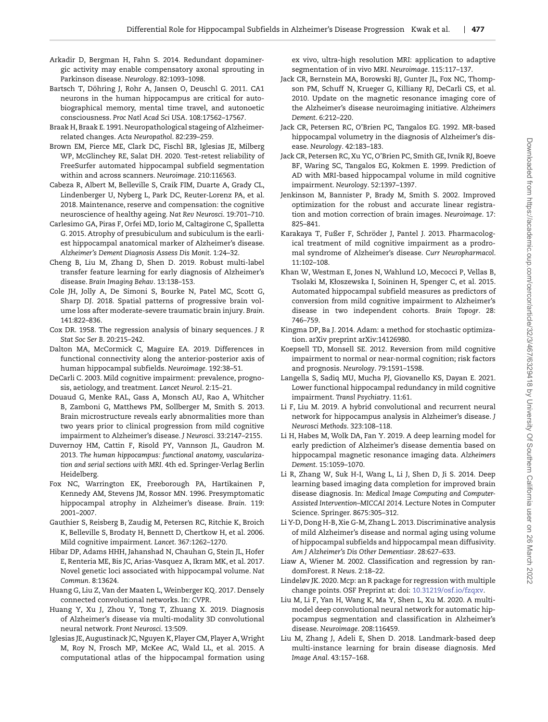- <span id="page-10-34"></span>Arkadir D, Bergman H, Fahn S. 2014. Redundant dopaminergic activity may enable compensatory axonal sprouting in Parkinson disease. *Neurology*. 82:1093–1098.
- <span id="page-10-15"></span>Bartsch T, Döhring J, Rohr A, Jansen O, Deuschl G. 2011. CA1 neurons in the human hippocampus are critical for autobiographical memory, mental time travel, and autonoetic consciousness. *Proc Natl Acad Sci USA*. 108:17562–17567.
- <span id="page-10-31"></span>Braak H, Braak E. 1991. Neuropathological stageing of Alzheimerrelated changes. *Acta Neuropathol*. 82:239–259.
- <span id="page-10-23"></span>Brown EM, Pierce ME, Clark DC, Fischl BR, Iglesias JE, Milberg WP, McGlinchey RE, Salat DH. 2020. Test-retest reliability of FreeSurfer automated hippocampal subfield segmentation within and across scanners. *Neuroimage*. 210:116563.
- <span id="page-10-33"></span>Cabeza R, Albert M, Belleville S, Craik FIM, Duarte A, Grady CL, Lindenberger U, Nyberg L, Park DC, Reuter-Lorenz PA, et al. 2018. Maintenance, reserve and compensation: the cognitive neuroscience of healthy ageing. *Nat Rev Neurosci*. 19:701–710.
- <span id="page-10-16"></span>Carlesimo GA, Piras F, Orfei MD, Iorio M, Caltagirone C, Spalletta G. 2015. Atrophy of presubiculum and subiculum is the earliest hippocampal anatomical marker of Alzheimer's disease. *Alzheimer's Dement Diagnosis Assess Dis Monit*. 1:24–32.
- <span id="page-10-5"></span>Cheng B, Liu M, Zhang D, Shen D. 2019. Robust multi-label transfer feature learning for early diagnosis of Alzheimer's disease. *Brain Imaging Behav*. 13:138–153.
- <span id="page-10-35"></span>Cole JH, Jolly A, De Simoni S, Bourke N, Patel MC, Scott G, Sharp DJ. 2018. Spatial patterns of progressive brain volume loss after moderate-severe traumatic brain injury. *Brain*. 141:822–836.
- <span id="page-10-28"></span>Cox DR. 1958. The regression analysis of binary sequences. *J R Stat Soc Ser B*. 20:215–242.
- <span id="page-10-14"></span>Dalton MA, McCormick C, Maguire EA. 2019. Differences in functional connectivity along the anterior-posterior axis of human hippocampal subfields. *Neuroimage*. 192:38–51.
- <span id="page-10-1"></span>DeCarli C. 2003. Mild cognitive impairment: prevalence, prognosis, aetiology, and treatment. *Lancet Neurol*. 2:15–21.
- <span id="page-10-9"></span>Douaud G, Menke RAL, Gass A, Monsch AU, Rao A, Whitcher B, Zamboni G, Matthews PM, Sollberger M, Smith S. 2013. Brain microstructure reveals early abnormalities more than two years prior to clinical progression from mild cognitive impairment to Alzheimer's disease. *J Neurosci*. 33:2147–2155.
- <span id="page-10-13"></span>Duvernoy HM, Cattin F, Risold PY, Vannson JL, Gaudron M. 2013. *The human hippocampus: functional anatomy, vascularization and serial sections with MRI*. 4th ed. Springer-Verlag Berlin Heidelberg.
- <span id="page-10-7"></span>Fox NC, Warrington EK, Freeborough PA, Hartikainen P, Kennedy AM, Stevens JM, Rossor MN. 1996. Presymptomatic hippocampal atrophy in Alzheimer's disease. *Brain*. 119: 2001–2007.
- <span id="page-10-0"></span>Gauthier S, Reisberg B, Zaudig M, Petersen RC, Ritchie K, Broich K, Belleville S, Brodaty H, Bennett D, Chertkow H, et al. 2006. Mild cognitive impairment. *Lancet*. 367:1262–1270.
- <span id="page-10-24"></span>Hibar DP, Adams HHH, Jahanshad N, Chauhan G, Stein JL, Hofer E, Renteria ME, Bis JC, Arias-Vasquez A, Ikram MK, et al. 2017. Novel genetic loci associated with hippocampal volume. *Nat Commun*. 8:13624.
- <span id="page-10-25"></span>Huang G, Liu Z, Van der Maaten L, Weinberger KQ. 2017. Densely connected convolutional networks. In: *CVPR*.
- <span id="page-10-10"></span>Huang Y, Xu J, Zhou Y, Tong T, Zhuang X. 2019. Diagnosis of Alzheimer's disease via multi-modality 3D convolutional neural network. *Front Neurosci*. 13:509.
- <span id="page-10-22"></span>Iglesias JE, Augustinack JC, Nguyen K, Player CM, Player A,Wright M, Roy N, Frosch MP, McKee AC, Wald LL, et al. 2015. A computational atlas of the hippocampal formation using

ex vivo, ultra-high resolution MRI: application to adaptive segmentation of in vivo MRI. *Neuroimage*. 115:117–137.

- <span id="page-10-19"></span>Jack CR, Bernstein MA, Borowski BJ, Gunter JL, Fox NC, Thompson PM, Schuff N, Krueger G, Killiany RJ, DeCarli CS, et al. 2010. Update on the magnetic resonance imaging core of the Alzheimer's disease neuroimaging initiative. *Alzheimers Dement*. 6:212–220.
- <span id="page-10-6"></span>Jack CR, Petersen RC, O'Brien PC, Tangalos EG. 1992. MR-based hippocampal volumetry in the diagnosis of Alzheimer's disease. *Neurology*. 42:183–183.
- <span id="page-10-8"></span>Jack CR, Petersen RC, Xu YC, O'Brien PC, Smith GE, Ivnik RJ, Boeve BF, Waring SC, Tangalos EG, Kokmen E. 1999. Prediction of AD with MRI-based hippocampal volume in mild cognitive impairment. *Neurology*. 52:1397–1397.
- <span id="page-10-20"></span>Jenkinson M, Bannister P, Brady M, Smith S. 2002. Improved optimization for the robust and accurate linear registration and motion correction of brain images. *Neuroimage*. 17: 825–841.
- <span id="page-10-3"></span>Karakaya T, Fußer F, Schröder J, Pantel J. 2013. Pharmacological treatment of mild cognitive impairment as a prodromal syndrome of Alzheimer's disease. *Curr Neuropharmacol*. 11:102–108.
- <span id="page-10-18"></span>Khan W, Westman E, Jones N, Wahlund LO, Mecocci P, Vellas B, Tsolaki M, Kłoszewska I, Soininen H, Spenger C, et al. 2015. Automated hippocampal subfield measures as predictors of conversion from mild cognitive impairment to Alzheimer's disease in two independent cohorts. *Brain Topogr*. 28: 746–759.
- <span id="page-10-26"></span>Kingma DP, Ba J. 2014. Adam: a method for stochastic optimization. arXiv preprint arXiv:14126980.
- <span id="page-10-2"></span>Koepsell TD, Monsell SE. 2012. Reversion from mild cognitive impairment to normal or near-normal cognition; risk factors and prognosis. *Neurology*. 79:1591–1598.
- <span id="page-10-32"></span>Langella S, Sadiq MU, Mucha PJ, Giovanello KS, Dayan E. 2021. Lower functional hippocampal redundancy in mild cognitive impairment. *Transl Psychiatry*. 11:61.
- <span id="page-10-11"></span>Li F, Liu M. 2019. A hybrid convolutional and recurrent neural network for hippocampus analysis in Alzheimer's disease. *J Neurosci Methods*. 323:108–118.
- <span id="page-10-12"></span>Li H, Habes M, Wolk DA, Fan Y. 2019. A deep learning model for early prediction of Alzheimer's disease dementia based on hippocampal magnetic resonance imaging data. *Alzheimers Dement*. 15:1059–1070.
- <span id="page-10-30"></span>Li R, Zhang W, Suk H-I, Wang L, Li J, Shen D, Ji S. 2014. Deep learning based imaging data completion for improved brain disease diagnosis. In: *Medical Image Computing and Computer-Assisted Intervention–MICCAI 2014*. Lecture Notes in Computer Science. Springer. 8675:305–312.
- <span id="page-10-17"></span>Li Y-D, Dong H-B, Xie G-M, Zhang L. 2013. Discriminative analysis of mild Alzheimer's disease and normal aging using volume of hippocampal subfields and hippocampal mean diffusivity. *Am J Alzheimer's Dis Other Dementiasr*. 28:627–633.
- <span id="page-10-27"></span>Liaw A, Wiener M. 2002. Classification and regression by randomForest. *R News*. 2:18–22.
- <span id="page-10-29"></span>Lindeløv JK. 2020. Mcp: an R package for regression with multiple change points. OSF Preprint at: doi: [10.31219/osf.io/fzqxv.](https://doi.org/10.31219/osf.io/fzqxv)
- <span id="page-10-21"></span>Liu M, Li F, Yan H, Wang K, Ma Y, Shen L, Xu M. 2020. A multimodel deep convolutional neural network for automatic hippocampus segmentation and classification in Alzheimer's disease. *Neuroimage*. 208:116459.
- <span id="page-10-4"></span>Liu M, Zhang J, Adeli E, Shen D. 2018. Landmark-based deep multi-instance learning for brain disease diagnosis. *Med Image Anal*. 43:157–168.